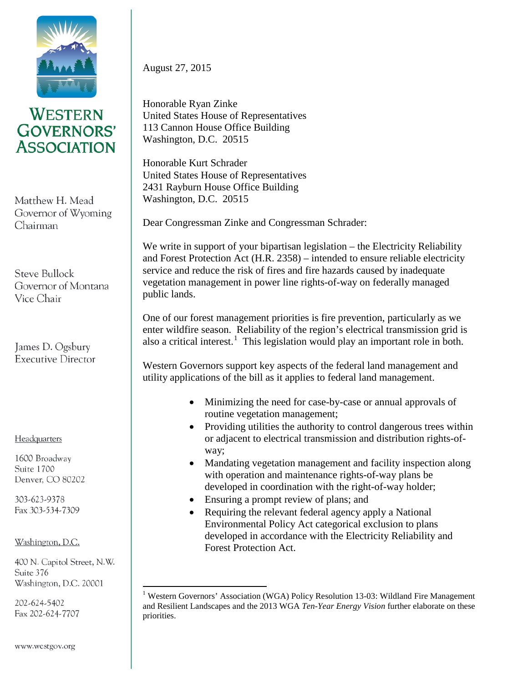

## **WESTERN GOVERNORS' ASSOCIATION**

Matthew H. Mead Governor of Wyoming Chairman

Steve Bullock Governor of Montana Vice Chair

James D. Ogsbury **Executive Director** 

Headquarters

1600 Broadway Suite 1700 Denver, CO 80202

303-623-9378 Fax 303-534-7309

Washington, D.C.

400 N. Capitol Street, N.W. Suite 376 Washington, D.C. 20001

<span id="page-0-0"></span>202-624-5402 Fax 202-624-7707 August 27, 2015

Honorable Ryan Zinke United States House of Representatives 113 Cannon House Office Building Washington, D.C. 20515

Honorable Kurt Schrader United States House of Representatives 2431 Rayburn House Office Building Washington, D.C. 20515

Dear Congressman Zinke and Congressman Schrader:

We write in support of your bipartisan legislation – the Electricity Reliability and Forest Protection Act (H.R. 2358) – intended to ensure reliable electricity service and reduce the risk of fires and fire hazards caused by inadequate vegetation management in power line rights-of-way on federally managed public lands.

One of our forest management priorities is fire prevention, particularly as we enter wildfire season. Reliability of the region's electrical transmission grid is also a critical interest.<sup>[1](#page-0-0)</sup> This legislation would play an important role in both.

Western Governors support key aspects of the federal land management and utility applications of the bill as it applies to federal land management.

- Minimizing the need for case-by-case or annual approvals of routine vegetation management;
- Providing utilities the authority to control dangerous trees within or adjacent to electrical transmission and distribution rights-ofway;
- Mandating vegetation management and facility inspection along with operation and maintenance rights-of-way plans be developed in coordination with the right-of-way holder;
- Ensuring a prompt review of plans; and
- Requiring the relevant federal agency apply a National Environmental Policy Act categorical exclusion to plans developed in accordance with the Electricity Reliability and Forest Protection Act.

<sup>&</sup>lt;sup>1</sup> Western Governors' Association (WGA) Policy Resolution 13-03: Wildland Fire Management and Resilient Landscapes and the 2013 WGA *Ten-Year Energy Vision* further elaborate on these priorities.